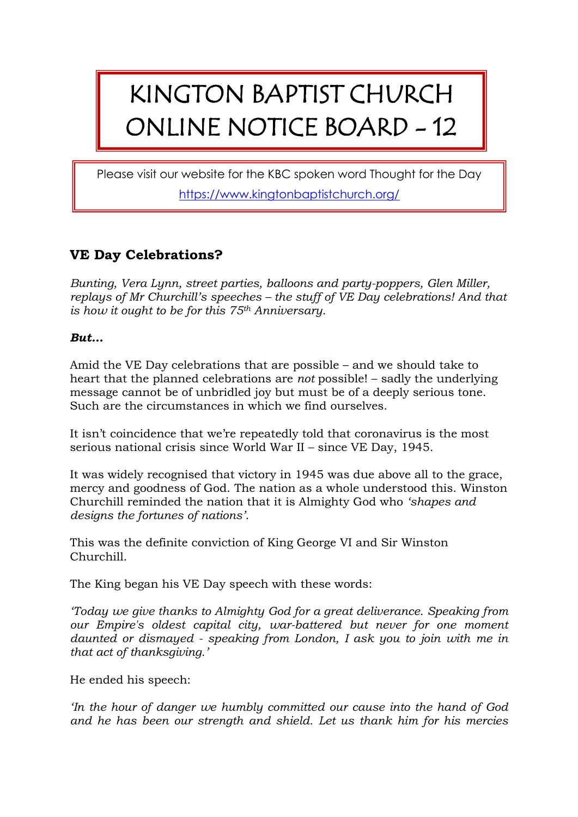## KINGTON BAPTIST CHURCH ONLINE NOTICE BOARD - 12

Please visit our website for the KBC spoken word Thought for the Day <https://www.kingtonbaptistchurch.org/>

## **VE Day Celebrations?**

*Bunting, Vera Lynn, street parties, balloons and party-poppers, Glen Miller, replays of Mr Churchill's speeches – the stuff of VE Day celebrations! And that is how it ought to be for this 75th Anniversary.*

## *But…*

Amid the VE Day celebrations that are possible – and we should take to heart that the planned celebrations are *not* possible! – sadly the underlying message cannot be of unbridled joy but must be of a deeply serious tone. Such are the circumstances in which we find ourselves.

It isn't coincidence that we're repeatedly told that coronavirus is the most serious national crisis since World War II – since VE Day, 1945.

It was widely recognised that victory in 1945 was due above all to the grace, mercy and goodness of God. The nation as a whole understood this. Winston Churchill reminded the nation that it is Almighty God who *'shapes and designs the fortunes of nations'*.

This was the definite conviction of King George VI and Sir Winston Churchill.

The King began his VE Day speech with these words:

*'Today we give thanks to Almighty God for a great deliverance. Speaking from our Empire's oldest capital city, war-battered but never for one moment daunted or dismayed - speaking from London, I ask you to join with me in that act of thanksgiving.'*

He ended his speech:

*'In the hour of danger we humbly committed our cause into the hand of God and he has been our strength and shield. Let us thank him for his mercies*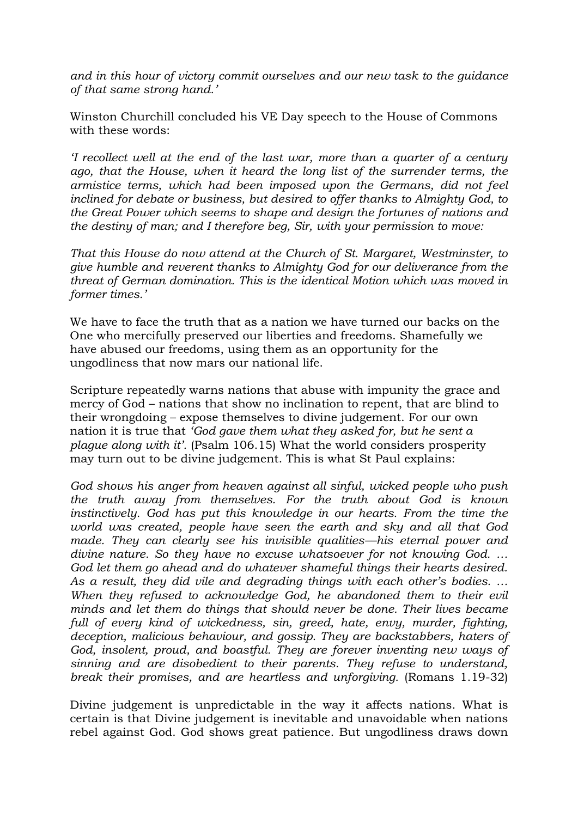*and in this hour of victory commit ourselves and our new task to the guidance of that same strong hand.'*

Winston Churchill concluded his VE Day speech to the House of Commons with these words:

*'I recollect well at the end of the last war, more than a quarter of a century ago, that the House, when it heard the long list of the surrender terms, the armistice terms, which had been imposed upon the Germans, did not feel inclined for debate or business, but desired to offer thanks to Almighty God, to the Great Power which seems to shape and design the fortunes of nations and the destiny of man; and I therefore beg, Sir, with your permission to move:*

*That this House do now attend at the Church of St. Margaret, Westminster, to give humble and reverent thanks to Almighty God for our deliverance from the threat of German domination. This is the identical Motion which was moved in former times.'*

We have to face the truth that as a nation we have turned our backs on the One who mercifully preserved our liberties and freedoms. Shamefully we have abused our freedoms, using them as an opportunity for the ungodliness that now mars our national life.

Scripture repeatedly warns nations that abuse with impunity the grace and mercy of God – nations that show no inclination to repent, that are blind to their wrongdoing – expose themselves to divine judgement. For our own nation it is true that *'God gave them what they asked for, but he sent a plague along with it'.* (Psalm 106.15) What the world considers prosperity may turn out to be divine judgement. This is what St Paul explains:

*God shows his anger from heaven against all sinful, wicked people who push the truth away from themselves. For the truth about God is known instinctively. God has put this knowledge in our hearts. From the time the world was created, people have seen the earth and sky and all that God made. They can clearly see his invisible qualities––his eternal power and divine nature. So they have no excuse whatsoever for not knowing God. … God let them go ahead and do whatever shameful things their hearts desired. As a result, they did vile and degrading things with each other's bodies. … When they refused to acknowledge God, he abandoned them to their evil minds and let them do things that should never be done. Their lives became full of every kind of wickedness, sin, greed, hate, envy, murder, fighting, deception, malicious behaviour, and gossip. They are backstabbers, haters of God, insolent, proud, and boastful. They are forever inventing new ways of sinning and are disobedient to their parents. They refuse to understand, break their promises, and are heartless and unforgiving.* (Romans 1.19-32)

Divine judgement is unpredictable in the way it affects nations. What is certain is that Divine judgement is inevitable and unavoidable when nations rebel against God. God shows great patience. But ungodliness draws down